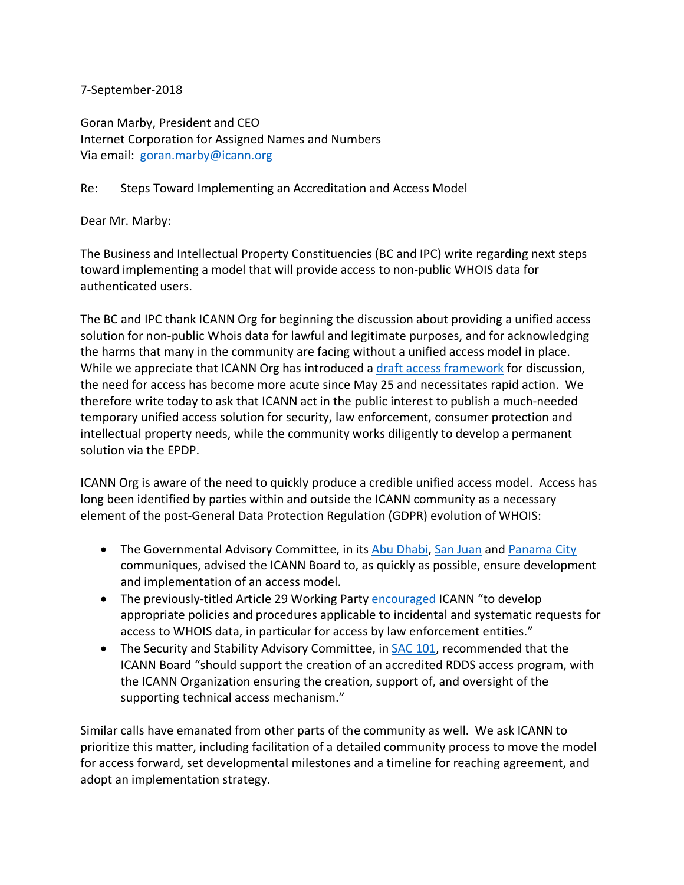## 7-September-2018

Goran Marby, President and CEO Internet Corporation for Assigned Names and Numbers Via email: goran.marby@icann.org

Re: Steps Toward Implementing an Accreditation and Access Model

Dear Mr. Marby:

The Business and Intellectual Property Constituencies (BC and IPC) write regarding next steps toward implementing a model that will provide access to non-public WHOIS data for authenticated users.

The BC and IPC thank ICANN Org for beginning the discussion about providing a unified access solution for non-public Whois data for lawful and legitimate purposes, and for acknowledging the harms that many in the community are facing without a unified access model in place. While we appreciate that ICANN Org has introduced a draft access framework for discussion, the need for access has become more acute since May 25 and necessitates rapid action. We therefore write today to ask that ICANN act in the public interest to publish a much-needed temporary unified access solution for security, law enforcement, consumer protection and intellectual property needs, while the community works diligently to develop a permanent solution via the EPDP.

ICANN Org is aware of the need to quickly produce a credible unified access model. Access has long been identified by parties within and outside the ICANN community as a necessary element of the post-General Data Protection Regulation (GDPR) evolution of WHOIS:

- The Governmental Advisory Committee, in its Abu Dhabi, San Juan and Panama City communiques, advised the ICANN Board to, as quickly as possible, ensure development and implementation of an access model.
- The previously-titled Article 29 Working Party **encouraged ICANN** "to develop appropriate policies and procedures applicable to incidental and systematic requests for access to WHOIS data, in particular for access by law enforcement entities."
- The Security and Stability Advisory Committee, in SAC 101, recommended that the ICANN Board "should support the creation of an accredited RDDS access program, with the ICANN Organization ensuring the creation, support of, and oversight of the supporting technical access mechanism."

Similar calls have emanated from other parts of the community as well. We ask ICANN to prioritize this matter, including facilitation of a detailed community process to move the model for access forward, set developmental milestones and a timeline for reaching agreement, and adopt an implementation strategy.